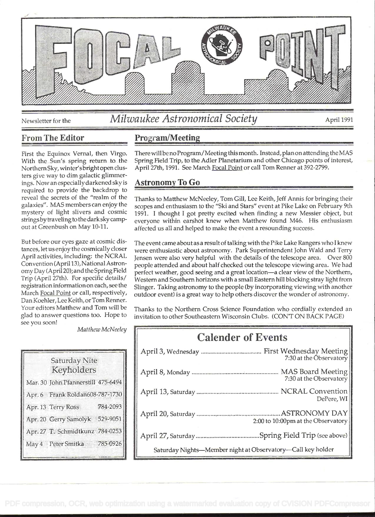

see you soon!

## Newsletter for the *Milwaukee Astronomical Society* April 1991

## From The Editor Program/Meeting

First the Equinox Vernal, then Virgo. With the Sun's spring return to the Northern Sky, winter'sbrightopen dusters give way to dim galactic glimmerings. Now an especially darkened sky is required to provide the backdrop to reveal the secrets of the "realm of the galaxies". MAS members can enjoy the mystery of light slivers and cosmic stringsbytraveling to the dark sky campout at Greenbush on May 10-11.

But before our eyes gaze at cosmic distances, let us enjoy the cosmically closer April activities, including: the NCRAL Convention (April 13), National Astronomy Day (April 20); and the Spring Field Trip (April 27th). For specific details/ registration information on each, see the March Focal Point or call, respectively, Dan Koehier, Lee Keith, or Tom Renner. Your editors Matthew and Tom will be glad to answer questions too. Hope to

There will be no Program/Meeting this month. Instead, plan on attending the MAS Spring Field Trip, to the Adler Planetarium and other Chicago points of interest, April 27th, 1991. See March Focal Point or call Tom Renner at 392-2799.

## Astronomy To Go

Thanks to Matthew McNeeley, Tom Gill, Lee Keith, Jeff Annis for bringing their scopes and enthusiasm to the "Ski and Stars" event at Pike Lake on February 9th 1991. I thought I got pretty excited when finding a new Messier object, but everyone within earshot knew when Matthew found M46. His enthusiasm affected us all and helped to make the event a resounding success.

The event came about as a result of talking with the Pike Lake Rangers who I knew were enthusiastic about astronomy. Park Superintendent John Wald and Terry Jensen were also very helpful with the details of the telescope area. Over 800 people attended and about half checked out the telescope viewing area. We had perfect weather, good seeing and a great location-a clear view of the Northern, Western and Southern horizons with a small Eastern hill blocking stray light from Slinger. Taking astronomy to the people (by incorporating viewing with another outdoor event) is a great way to help others discover the wonder of astronomy.

Thanks to the Northern Cross Science Foundation who cordially extended an invitation to other Southeastern Wisconsin Clubs. (CON'T ON BACK PAGE)

| <b>Calender of Events</b>                                   |
|-------------------------------------------------------------|
| 7:30 at the Observatory                                     |
| 7:30 at the Observatory                                     |
| DePere. WI                                                  |
| 2:00 to 10:00pm at the Observatory                          |
|                                                             |
| Saturday Nights-Member night at Observatory-Call key holder |

| Saturday Nite<br>Keyholders        |          |
|------------------------------------|----------|
| Mar. 30 John Pfannerstill 475-6494 |          |
| Apr. 6 Frank Roldan608-787-1730    |          |
| Apr. 13 Terry Ross                 | 784-2093 |
| Apr. 20 Gerry Samolyk 529-9051     |          |
| Apr. 27 T. Schmidtkunz 784-0253    |          |
| May 4 Peter Smitka 785-0926        |          |

Matthew McNeeley